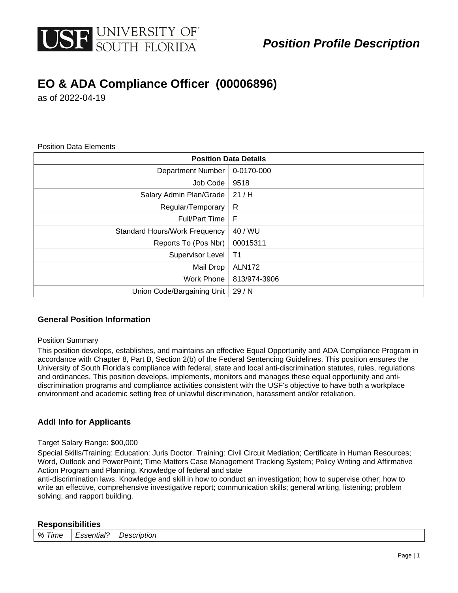

## **EO & ADA Compliance Officer (00006896)**

as of 2022-04-19

Position Data Elements

| <b>Position Data Details</b>         |                |  |  |
|--------------------------------------|----------------|--|--|
| <b>Department Number</b>             | 0-0170-000     |  |  |
| Job Code                             | 9518           |  |  |
| Salary Admin Plan/Grade              | 21/H           |  |  |
| Regular/Temporary                    | R              |  |  |
| <b>Full/Part Time</b>                | F              |  |  |
| <b>Standard Hours/Work Frequency</b> | 40 / WU        |  |  |
| Reports To (Pos Nbr)                 | 00015311       |  |  |
| Supervisor Level                     | T <sub>1</sub> |  |  |
| Mail Drop                            | <b>ALN172</b>  |  |  |
| <b>Work Phone</b>                    | 813/974-3906   |  |  |
| Union Code/Bargaining Unit           | 29/N           |  |  |

#### **General Position Information**

#### Position Summary

This position develops, establishes, and maintains an effective Equal Opportunity and ADA Compliance Program in accordance with Chapter 8, Part B, Section 2(b) of the Federal Sentencing Guidelines. This position ensures the University of South Florida's compliance with federal, state and local anti-discrimination statutes, rules, regulations and ordinances. This position develops, implements, monitors and manages these equal opportunity and antidiscrimination programs and compliance activities consistent with the USF's objective to have both a workplace environment and academic setting free of unlawful discrimination, harassment and/or retaliation.

#### **Addl Info for Applicants**

#### Target Salary Range: \$00,000

Special Skills/Training: Education: Juris Doctor. Training: Civil Circuit Mediation; Certificate in Human Resources; Word, Outlook and PowerPoint; Time Matters Case Management Tracking System; Policy Writing and Affirmative Action Program and Planning. Knowledge of federal and state

anti-discrimination laws. Knowledge and skill in how to conduct an investigation; how to supervise other; how to write an effective, comprehensive investigative report; communication skills; general writing, listening; problem solving; and rapport building.

#### **Responsibilities**

| % Ti<br>Time | Essential? | Description          |
|--------------|------------|----------------------|
|              | .          | $\sim$ $\sim$ $\sim$ |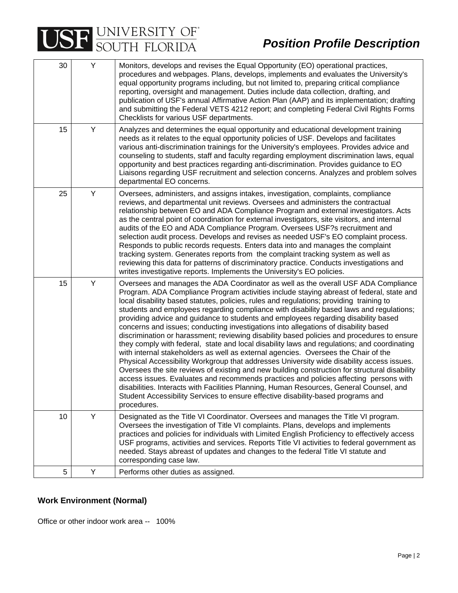# USE UNIVERSITY OF

| 30 | Y | Monitors, develops and revises the Equal Opportunity (EO) operational practices,<br>procedures and webpages. Plans, develops, implements and evaluates the University's<br>equal opportunity programs including, but not limited to, preparing critical compliance<br>reporting, oversight and management. Duties include data collection, drafting, and<br>publication of USF's annual Affirmative Action Plan (AAP) and its implementation; drafting<br>and submitting the Federal VETS 4212 report; and completing Federal Civil Rights Forms<br>Checklists for various USF departments.                                                                                                                                                                                                                                                                                                                                                                                                                                                                                                                                                                                                                                                                                                                               |
|----|---|---------------------------------------------------------------------------------------------------------------------------------------------------------------------------------------------------------------------------------------------------------------------------------------------------------------------------------------------------------------------------------------------------------------------------------------------------------------------------------------------------------------------------------------------------------------------------------------------------------------------------------------------------------------------------------------------------------------------------------------------------------------------------------------------------------------------------------------------------------------------------------------------------------------------------------------------------------------------------------------------------------------------------------------------------------------------------------------------------------------------------------------------------------------------------------------------------------------------------------------------------------------------------------------------------------------------------|
| 15 | Y | Analyzes and determines the equal opportunity and educational development training<br>needs as it relates to the equal opportunity policies of USF. Develops and facilitates<br>various anti-discrimination trainings for the University's employees. Provides advice and<br>counseling to students, staff and faculty regarding employment discrimination laws, equal<br>opportunity and best practices regarding anti-discrimination. Provides guidance to EO<br>Liaisons regarding USF recruitment and selection concerns. Analyzes and problem solves<br>departmental EO concerns.                                                                                                                                                                                                                                                                                                                                                                                                                                                                                                                                                                                                                                                                                                                                    |
| 25 | Y | Oversees, administers, and assigns intakes, investigation, complaints, compliance<br>reviews, and departmental unit reviews. Oversees and administers the contractual<br>relationship between EO and ADA Compliance Program and external investigators. Acts<br>as the central point of coordination for external investigators, site visitors, and internal<br>audits of the EO and ADA Compliance Program. Oversees USF?s recruitment and<br>selection audit process. Develops and revises as needed USF's EO complaint process.<br>Responds to public records requests. Enters data into and manages the complaint<br>tracking system. Generates reports from the complaint tracking system as well as<br>reviewing this data for patterns of discriminatory practice. Conducts investigations and<br>writes investigative reports. Implements the University's EO policies.                                                                                                                                                                                                                                                                                                                                                                                                                                           |
| 15 | Υ | Oversees and manages the ADA Coordinator as well as the overall USF ADA Compliance<br>Program. ADA Compliance Program activities include staying abreast of federal, state and<br>local disability based statutes, policies, rules and regulations; providing training to<br>students and employees regarding compliance with disability based laws and regulations;<br>providing advice and guidance to students and employees regarding disability based<br>concerns and issues; conducting investigations into allegations of disability based<br>discrimination or harassment; reviewing disability based policies and procedures to ensure<br>they comply with federal, state and local disability laws and regulations; and coordinating<br>with internal stakeholders as well as external agencies. Oversees the Chair of the<br>Physical Accessibility Workgroup that addresses University wide disability access issues.<br>Oversees the site reviews of existing and new building construction for structural disability<br>access issues. Evaluates and recommends practices and policies affecting persons with<br>disabilities. Interacts with Facilities Planning, Human Resources, General Counsel, and<br>Student Accessibility Services to ensure effective disability-based programs and<br>procedures. |
| 10 | Y | Designated as the Title VI Coordinator. Oversees and manages the Title VI program.<br>Oversees the investigation of Title VI complaints. Plans, develops and implements<br>practices and policies for individuals with Limited English Proficiency to effectively access<br>USF programs, activities and services. Reports Title VI activities to federal government as<br>needed. Stays abreast of updates and changes to the federal Title VI statute and<br>corresponding case law.                                                                                                                                                                                                                                                                                                                                                                                                                                                                                                                                                                                                                                                                                                                                                                                                                                    |
| 5  | Y | Performs other duties as assigned.                                                                                                                                                                                                                                                                                                                                                                                                                                                                                                                                                                                                                                                                                                                                                                                                                                                                                                                                                                                                                                                                                                                                                                                                                                                                                        |

### **Work Environment (Normal)**

Office or other indoor work area -- 100%